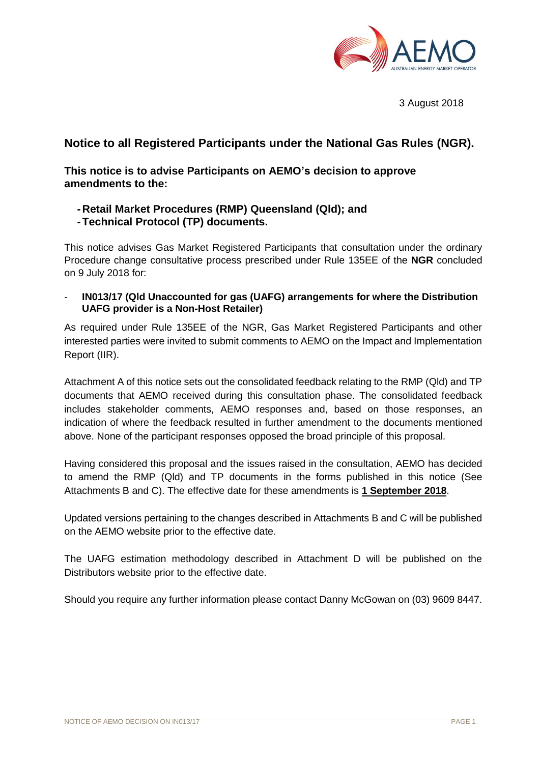

3 August 2018

# **Notice to all Registered Participants under the National Gas Rules (NGR).**

**This notice is to advise Participants on AEMO's decision to approve amendments to the:** 

- **-Retail Market Procedures (RMP) Queensland (Qld); and**
- **-Technical Protocol (TP) documents.**

This notice advises Gas Market Registered Participants that consultation under the ordinary Procedure change consultative process prescribed under Rule 135EE of the **NGR** concluded on 9 July 2018 for:

- **IN013/17 (Qld Unaccounted for gas (UAFG) arrangements for where the Distribution UAFG provider is a Non-Host Retailer)**

As required under Rule 135EE of the NGR, Gas Market Registered Participants and other interested parties were invited to submit comments to AEMO on the Impact and Implementation Report (IIR).

Attachment A of this notice sets out the consolidated feedback relating to the RMP (Qld) and TP documents that AEMO received during this consultation phase. The consolidated feedback includes stakeholder comments, AEMO responses and, based on those responses, an indication of where the feedback resulted in further amendment to the documents mentioned above. None of the participant responses opposed the broad principle of this proposal.

Having considered this proposal and the issues raised in the consultation, AEMO has decided to amend the RMP (Qld) and TP documents in the forms published in this notice (See Attachments B and C). The effective date for these amendments is **1 September 2018**.

Updated versions pertaining to the changes described in Attachments B and C will be published on the AEMO website prior to the effective date.

The UAFG estimation methodology described in Attachment D will be published on the Distributors website prior to the effective date.

Should you require any further information please contact Danny McGowan on (03) 9609 8447.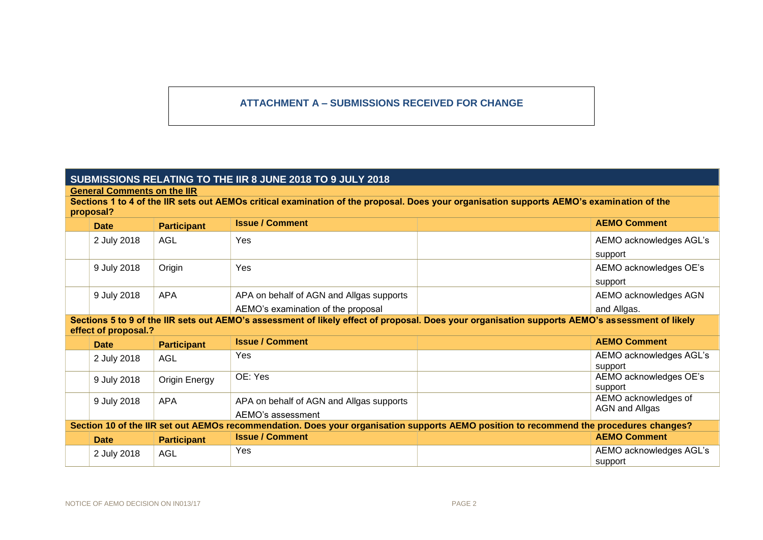# **ATTACHMENT A – SUBMISSIONS RECEIVED FOR CHANGE**

# **SUBMISSIONS RELATING TO THE IIR 8 JUNE 2018 TO 9 JULY 2018**

**General Comments on the IIR**

**Sections 1 to 4 of the IIR sets out AEMOs critical examination of the proposal. Does your organisation supports AEMO's examination of the proposal?**

| <b>Date</b> | <b>Participant</b> | <b>Issue / Comment</b>                   | <b>AEMO Comment</b>     |
|-------------|--------------------|------------------------------------------|-------------------------|
| 2 July 2018 | AGL                | Yes                                      | AEMO acknowledges AGL's |
|             |                    |                                          | support                 |
| 9 July 2018 | Origin             | Yes                                      | AEMO acknowledges OE's  |
|             |                    |                                          | support                 |
| 9 July 2018 | <b>APA</b>         | APA on behalf of AGN and Allgas supports | AEMO acknowledges AGN   |
|             |                    | AEMO's examination of the proposal       | and Allgas.             |

**Sections 5 to 9 of the IIR sets out AEMO's assessment of likely effect of proposal. Does your organisation supports AEMO's assessment of likely effect of proposal.?**

| <b>Date</b>                                                                                                                            | <b>Participant</b> | <b>Issue / Comment</b>                   | <b>AEMO Comment</b>     |  |
|----------------------------------------------------------------------------------------------------------------------------------------|--------------------|------------------------------------------|-------------------------|--|
| 2 July 2018                                                                                                                            | AGL                | Yes.                                     | AEMO acknowledges AGL's |  |
|                                                                                                                                        |                    |                                          | support                 |  |
| 9 July 2018                                                                                                                            | Origin Energy      | OE: Yes                                  | AEMO acknowledges OE's  |  |
|                                                                                                                                        |                    |                                          | support                 |  |
| 9 July 2018                                                                                                                            | APA                | APA on behalf of AGN and Allgas supports | AEMO acknowledges of    |  |
|                                                                                                                                        |                    |                                          | AGN and Allgas          |  |
|                                                                                                                                        |                    | AEMO's assessment                        |                         |  |
| Section 10 of the IIR set out AEMOs recommendation. Does your organisation supports AEMO position to recommend the procedures changes? |                    |                                          |                         |  |
| <b>Date</b>                                                                                                                            | <b>Participant</b> | <b>Issue / Comment</b>                   | <b>AEMO Comment</b>     |  |
| 2 July 2018                                                                                                                            | AGL                | Yes                                      | AEMO acknowledges AGL's |  |
|                                                                                                                                        |                    |                                          | support                 |  |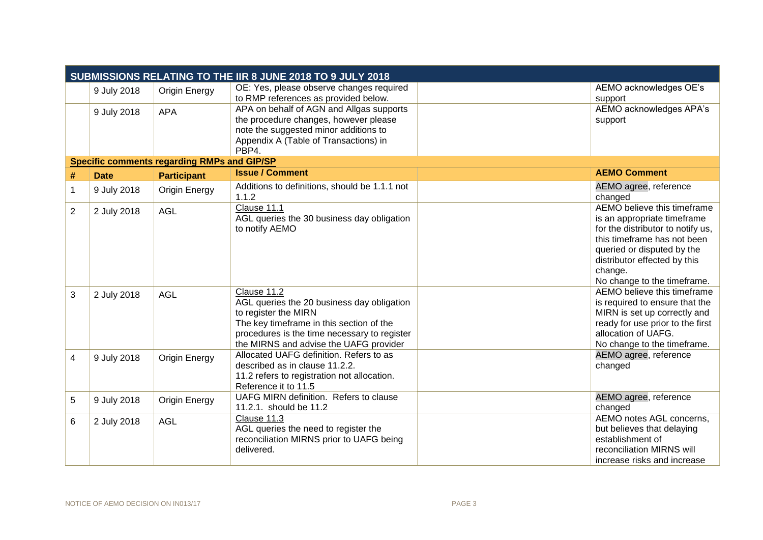|                | SUBMISSIONS RELATING TO THE IIR 8 JUNE 2018 TO 9 JULY 2018 |                                                    |                                                                                                                                                                                                                         |  |                                                                                                                                                                                                                                        |  |
|----------------|------------------------------------------------------------|----------------------------------------------------|-------------------------------------------------------------------------------------------------------------------------------------------------------------------------------------------------------------------------|--|----------------------------------------------------------------------------------------------------------------------------------------------------------------------------------------------------------------------------------------|--|
|                | 9 July 2018                                                | <b>Origin Energy</b>                               | OE: Yes, please observe changes required<br>to RMP references as provided below.                                                                                                                                        |  | AEMO acknowledges OE's<br>support                                                                                                                                                                                                      |  |
|                | 9 July 2018                                                | <b>APA</b>                                         | APA on behalf of AGN and Allgas supports<br>the procedure changes, however please<br>note the suggested minor additions to<br>Appendix A (Table of Transactions) in<br>PBP4.                                            |  | AEMO acknowledges APA's<br>support                                                                                                                                                                                                     |  |
|                |                                                            | <b>Specific comments regarding RMPs and GIP/SP</b> |                                                                                                                                                                                                                         |  |                                                                                                                                                                                                                                        |  |
| #              | <b>Date</b>                                                | <b>Participant</b>                                 | <b>Issue / Comment</b>                                                                                                                                                                                                  |  | <b>AEMO Comment</b>                                                                                                                                                                                                                    |  |
| 1              | 9 July 2018                                                | Origin Energy                                      | Additions to definitions, should be 1.1.1 not<br>1.1.2                                                                                                                                                                  |  | AEMO agree, reference<br>changed                                                                                                                                                                                                       |  |
| $\overline{2}$ | 2 July 2018                                                | <b>AGL</b>                                         | Clause 11.1<br>AGL queries the 30 business day obligation<br>to notify AEMO                                                                                                                                             |  | AEMO believe this timeframe<br>is an appropriate timeframe<br>for the distributor to notify us,<br>this timeframe has not been<br>queried or disputed by the<br>distributor effected by this<br>change.<br>No change to the timeframe. |  |
| 3              | 2 July 2018                                                | <b>AGL</b>                                         | Clause 11.2<br>AGL queries the 20 business day obligation<br>to register the MIRN<br>The key timeframe in this section of the<br>procedures is the time necessary to register<br>the MIRNS and advise the UAFG provider |  | AEMO believe this timeframe<br>is required to ensure that the<br>MIRN is set up correctly and<br>ready for use prior to the first<br>allocation of UAFG.<br>No change to the timeframe.                                                |  |
| 4              | 9 July 2018                                                | <b>Origin Energy</b>                               | Allocated UAFG definition. Refers to as<br>described as in clause 11.2.2.<br>11.2 refers to registration not allocation.<br>Reference it to 11.5                                                                        |  | AEMO agree, reference<br>changed                                                                                                                                                                                                       |  |
| 5              | 9 July 2018                                                | <b>Origin Energy</b>                               | UAFG MIRN definition. Refers to clause<br>11.2.1. should be 11.2                                                                                                                                                        |  | AEMO agree, reference<br>changed                                                                                                                                                                                                       |  |
| 6              | 2 July 2018                                                | <b>AGL</b>                                         | Clause 11.3<br>AGL queries the need to register the<br>reconciliation MIRNS prior to UAFG being<br>delivered.                                                                                                           |  | AEMO notes AGL concerns,<br>but believes that delaying<br>establishment of<br>reconciliation MIRNS will<br>increase risks and increase                                                                                                 |  |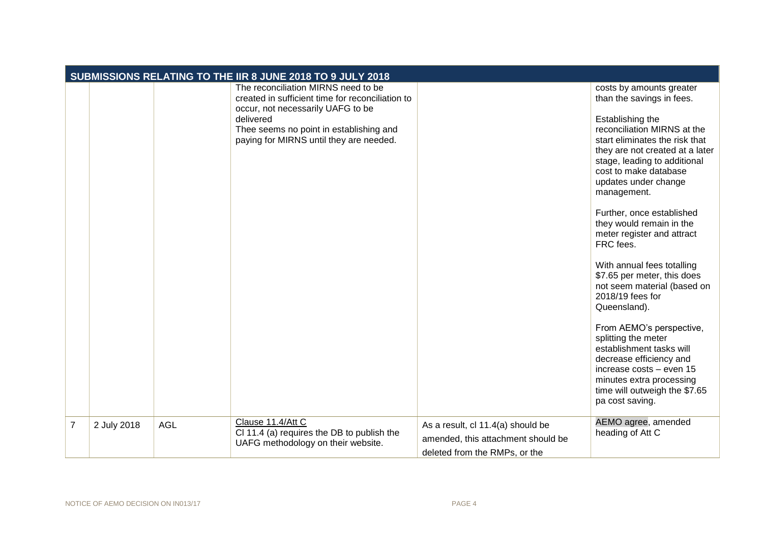|                |             |            | SUBMISSIONS RELATING TO THE IIR 8 JUNE 2018 TO 9 JULY 2018                                                                                                                                                                      |                                                                                                          |                                                                                                                                                                                                                                                                                                                                                                                                                                                                                                                                                                                                                                                                                                                                         |
|----------------|-------------|------------|---------------------------------------------------------------------------------------------------------------------------------------------------------------------------------------------------------------------------------|----------------------------------------------------------------------------------------------------------|-----------------------------------------------------------------------------------------------------------------------------------------------------------------------------------------------------------------------------------------------------------------------------------------------------------------------------------------------------------------------------------------------------------------------------------------------------------------------------------------------------------------------------------------------------------------------------------------------------------------------------------------------------------------------------------------------------------------------------------------|
|                |             |            | The reconciliation MIRNS need to be<br>created in sufficient time for reconciliation to<br>occur, not necessarily UAFG to be<br>delivered<br>Thee seems no point in establishing and<br>paying for MIRNS until they are needed. |                                                                                                          | costs by amounts greater<br>than the savings in fees.<br>Establishing the<br>reconciliation MIRNS at the<br>start eliminates the risk that<br>they are not created at a later<br>stage, leading to additional<br>cost to make database<br>updates under change<br>management.<br>Further, once established<br>they would remain in the<br>meter register and attract<br>FRC fees.<br>With annual fees totalling<br>\$7.65 per meter, this does<br>not seem material (based on<br>2018/19 fees for<br>Queensland).<br>From AEMO's perspective,<br>splitting the meter<br>establishment tasks will<br>decrease efficiency and<br>increase costs - even 15<br>minutes extra processing<br>time will outweigh the \$7.65<br>pa cost saving. |
| $\overline{7}$ | 2 July 2018 | <b>AGL</b> | Clause 11.4/Att C<br>CI 11.4 (a) requires the DB to publish the<br>UAFG methodology on their website.                                                                                                                           | As a result, cl 11.4(a) should be<br>amended, this attachment should be<br>deleted from the RMPs, or the | AEMO agree, amended<br>heading of Att C                                                                                                                                                                                                                                                                                                                                                                                                                                                                                                                                                                                                                                                                                                 |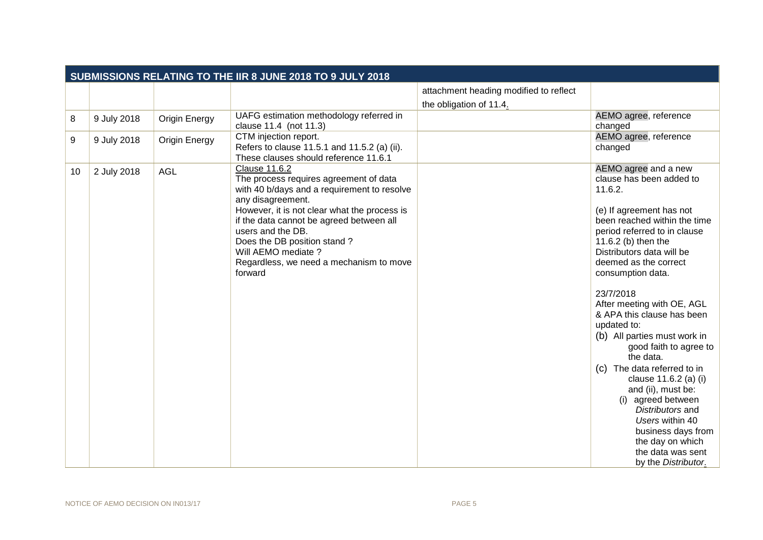| SUBMISSIONS RELATING TO THE IIR 8 JUNE 2018 TO 9 JULY 2018 |             |                      |                                                                                                                                                                                                                                                                                                                                                                 |                                                                   |                                                                                                                                                                                                                                                                                                                                                                                                                                                                                                                                                                                                                                                           |
|------------------------------------------------------------|-------------|----------------------|-----------------------------------------------------------------------------------------------------------------------------------------------------------------------------------------------------------------------------------------------------------------------------------------------------------------------------------------------------------------|-------------------------------------------------------------------|-----------------------------------------------------------------------------------------------------------------------------------------------------------------------------------------------------------------------------------------------------------------------------------------------------------------------------------------------------------------------------------------------------------------------------------------------------------------------------------------------------------------------------------------------------------------------------------------------------------------------------------------------------------|
|                                                            |             |                      |                                                                                                                                                                                                                                                                                                                                                                 | attachment heading modified to reflect<br>the obligation of 11.4. |                                                                                                                                                                                                                                                                                                                                                                                                                                                                                                                                                                                                                                                           |
| 8                                                          | 9 July 2018 | <b>Origin Energy</b> | UAFG estimation methodology referred in<br>clause 11.4 (not 11.3)                                                                                                                                                                                                                                                                                               |                                                                   | AEMO agree, reference<br>changed                                                                                                                                                                                                                                                                                                                                                                                                                                                                                                                                                                                                                          |
| 9                                                          | 9 July 2018 | <b>Origin Energy</b> | CTM injection report.<br>Refers to clause 11.5.1 and 11.5.2 (a) (ii).<br>These clauses should reference 11.6.1                                                                                                                                                                                                                                                  |                                                                   | AEMO agree, reference<br>changed                                                                                                                                                                                                                                                                                                                                                                                                                                                                                                                                                                                                                          |
| 10                                                         | 2 July 2018 | <b>AGL</b>           | <b>Clause 11.6.2</b><br>The process requires agreement of data<br>with 40 b/days and a requirement to resolve<br>any disagreement.<br>However, it is not clear what the process is<br>if the data cannot be agreed between all<br>users and the DB.<br>Does the DB position stand?<br>Will AEMO mediate ?<br>Regardless, we need a mechanism to move<br>forward |                                                                   | AEMO agree and a new<br>clause has been added to<br>11.6.2.<br>(e) If agreement has not<br>been reached within the time<br>period referred to in clause<br>11.6.2 (b) then the<br>Distributors data will be<br>deemed as the correct<br>consumption data.<br>23/7/2018<br>After meeting with OE, AGL<br>& APA this clause has been<br>updated to:<br>(b) All parties must work in<br>good faith to agree to<br>the data.<br>(c) The data referred to in<br>clause 11.6.2 (a) (i)<br>and (ii), must be:<br>(i) agreed between<br>Distributors and<br>Users within 40<br>business days from<br>the day on which<br>the data was sent<br>by the Distributor. |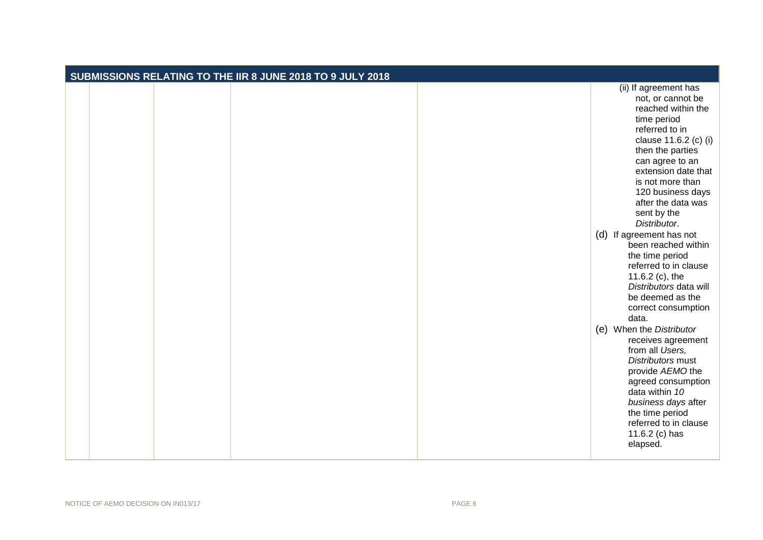| SUBMISSIONS RELATING TO THE IIR 8 JUNE 2018 TO 9 JULY 2018 |  |  |  |  |
|------------------------------------------------------------|--|--|--|--|
|                                                            |  |  |  |  |
|                                                            |  |  |  |  |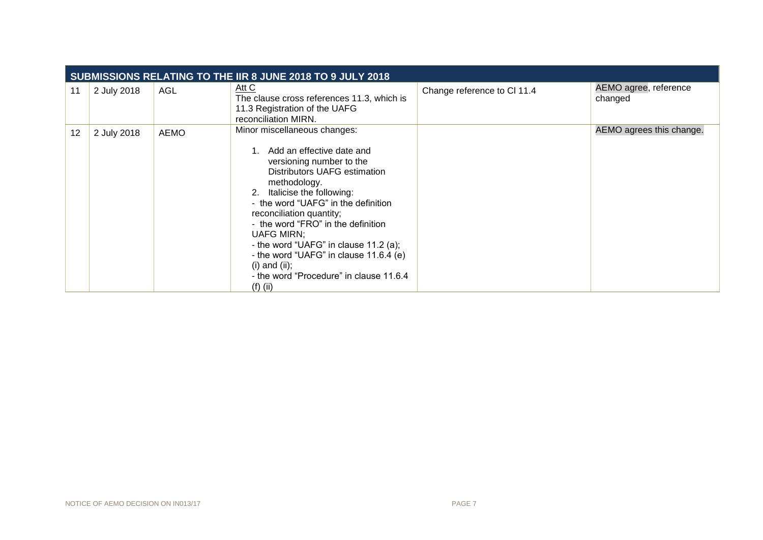|    | SUBMISSIONS RELATING TO THE IIR 8 JUNE 2018 TO 9 JULY 2018 |             |                                                                                                                                                                                                                                                                                                                                                                                                                                                                    |                             |                                  |  |
|----|------------------------------------------------------------|-------------|--------------------------------------------------------------------------------------------------------------------------------------------------------------------------------------------------------------------------------------------------------------------------------------------------------------------------------------------------------------------------------------------------------------------------------------------------------------------|-----------------------------|----------------------------------|--|
| 11 | 2 July 2018                                                | AGL         | Att C<br>The clause cross references 11.3, which is<br>11.3 Registration of the UAFG<br>reconciliation MIRN.                                                                                                                                                                                                                                                                                                                                                       | Change reference to Cl 11.4 | AEMO agree, reference<br>changed |  |
| 12 | 2 July 2018                                                | <b>AEMO</b> | Minor miscellaneous changes:<br>1. Add an effective date and<br>versioning number to the<br>Distributors UAFG estimation<br>methodology.<br>2. Italicise the following:<br>- the word "UAFG" in the definition<br>reconciliation quantity;<br>- the word "FRO" in the definition<br><b>UAFG MIRN;</b><br>- the word "UAFG" in clause 11.2 (a);<br>- the word "UAFG" in clause 11.6.4 (e)<br>(i) and (ii);<br>- the word "Procedure" in clause 11.6.4<br>$(f)$ (ii) |                             | AEMO agrees this change.         |  |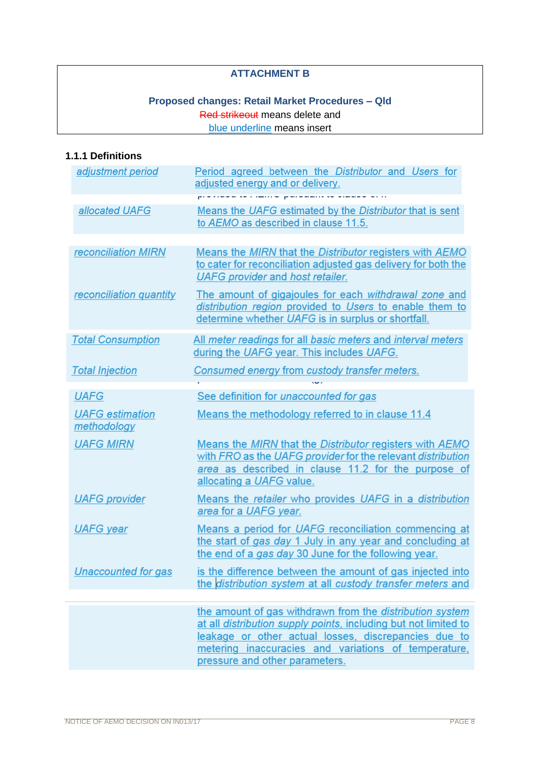## **ATTACHMENT B**

# **Proposed changes: Retail Market Procedures – Qld** Red strikeout means delete and blue underline means insert

# **1.1.1 Definitions**

| adjustment period                                    | Period agreed between the Distributor and Users for<br>adjusted energy and or delivery.                                                                                                                                                                                       |
|------------------------------------------------------|-------------------------------------------------------------------------------------------------------------------------------------------------------------------------------------------------------------------------------------------------------------------------------|
| allocated UAFG                                       | an and a supervisor provider<br>Means the UAFG estimated by the Distributor that is sent<br>to AEMO as described in clause 11.5.                                                                                                                                              |
| reconciliation MIRN                                  | Means the MIRN that the Distributor registers with AEMO<br>to cater for reconciliation adjusted gas delivery for both the<br>UAFG provider and host retailer.                                                                                                                 |
| reconciliation quantity                              | The amount of gigajoules for each withdrawal zone and<br>distribution region provided to Users to enable them to<br>determine whether UAFG is in surplus or shortfall.                                                                                                        |
| <b>Total Consumption</b>                             | All meter readings for all basic meters and interval meters<br>during the UAFG year. This includes UAFG.                                                                                                                                                                      |
| <b>Total Injection</b>                               | Consumed energy from custody transfer meters.                                                                                                                                                                                                                                 |
|                                                      |                                                                                                                                                                                                                                                                               |
| <b>UAFG</b><br><b>UAFG</b> estimation<br>methodology | See definition for <i>unaccounted for gas</i><br>Means the methodology referred to in clause 11.4                                                                                                                                                                             |
| <b>UAFG MIRN</b>                                     | Means the MIRN that the Distributor registers with AEMO<br>with FRO as the UAFG provider for the relevant distribution<br>area as described in clause 11.2 for the purpose of<br>allocating a UAFG value.                                                                     |
| <b>UAFG</b> provider                                 | Means the retailer who provides UAFG in a distribution<br>area for a UAFG year.                                                                                                                                                                                               |
| <b>UAFG</b> year                                     | Means a period for UAFG reconciliation commencing at<br>the start of gas day 1 July in any year and concluding at<br>the end of a gas day 30 June for the following year.                                                                                                     |
| <b>Unaccounted for gas</b>                           | is the difference between the amount of gas injected into<br>the <i>distribution system</i> at all custody transfer meters and                                                                                                                                                |
|                                                      | the amount of gas withdrawn from the distribution system<br>at all distribution supply points, including but not limited to<br>leakage or other actual losses, discrepancies due to<br>metering inaccuracies and variations of temperature,<br>pressure and other parameters. |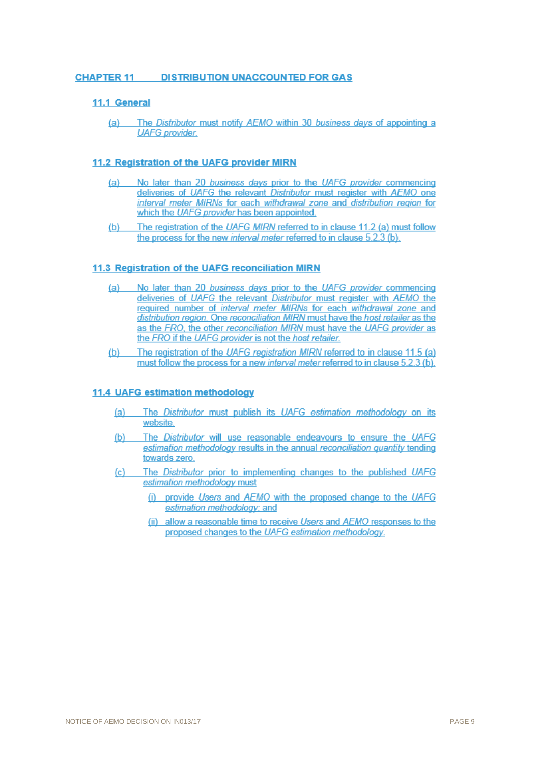### **CHAPTER 11 DISTRIBUTION UNACCOUNTED FOR GAS**

### 11.1 General

The Distributor must notify AEMO within 30 business days of appointing a  $(a)$ **UAFG** provider.

### 11.2 Registration of the UAFG provider MIRN

- No later than 20 business days prior to the UAFG provider commencing  $(a)$ deliveries of UAFG the relevant Distributor must register with AEMO one interval meter MIRNs for each withdrawal zone and distribution region for which the UAFG provider has been appointed.
- $(b)$ The registration of the UAFG MIRN referred to in clause 11.2 (a) must follow the process for the new interval meter referred to in clause 5.2.3 (b).

#### 11.3 Registration of the UAFG reconciliation MIRN

- No later than 20 business days prior to the UAFG provider commencing  $(a)$ deliveries of UAFG the relevant Distributor must register with AEMO the required number of interval meter MIRNs for each withdrawal zone and distribution region. One reconciliation MIRN must have the host retailer as the as the FRO, the other reconciliation MIRN must have the UAFG provider as the FRO if the UAFG provider is not the host retailer.
- The registration of the UAFG registration MIRN referred to in clause 11.5 (a)  $(b)$ must follow the process for a new interval meter referred to in clause 5.2.3 (b).

### 11.4 UAFG estimation methodology

- The Distributor must publish its UAFG estimation methodology on its  $(a)$ website.
- $(b)$ The Distributor will use reasonable endeavours to ensure the UAFG estimation methodology results in the annual reconciliation quantity tending towards zero.
- $(c)$ The Distributor prior to implementing changes to the published UAFG estimation methodology must
	- (i) provide Users and AEMO with the proposed change to the UAFG estimation methodology; and
	- (ii) allow a reasonable time to receive Users and AEMO responses to the proposed changes to the UAFG estimation methodology.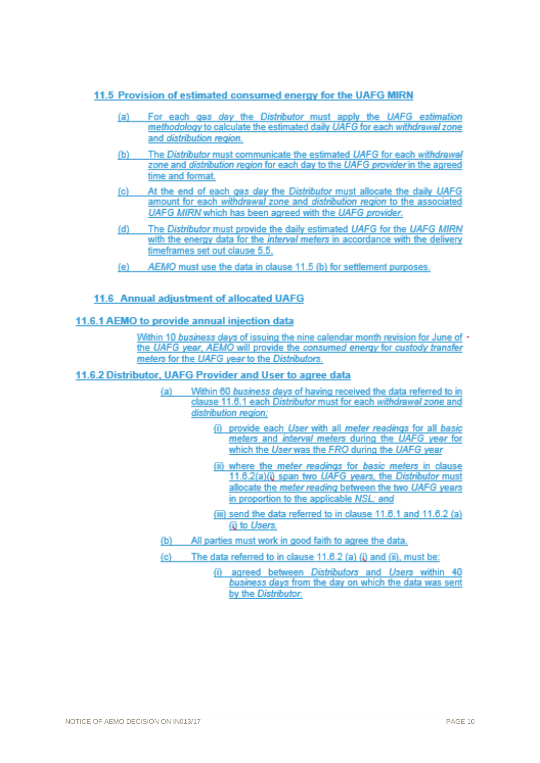### 11.5 Provision of estimated consumed energy for the UAFG MIRN

- For each gas day the Distributor must apply the UAFG estimation (a) l methodology to calculate the estimated daily UAFG for each withdrawal zone and distribution region.
- The Distributor must communicate the estimated UAFG for each withdrawal (b) zone and distribution region for each day to the UAFG provider in the agreed time and format
- At the end of each gas day the Distributor must allocate the daily UAFG  $(c)$ amount for each withdrawal zone and distribution region to the associated UAFG MIRN which has been agreed with the UAFG provider.
- The Distributor must provide the daily estimated UAFG for the UAFG MIRN (d) with the energy data for the interval meters in accordance with the delivery timeframes set out clause 5.5.
- AEMO must use the data in clause 11.5 (b) for settlement purposes. (e).

## 11.6 Annual adiustment of allocated UAFG

### 11.6.1 AEMO to provide annual injection data

Within 10 business days of issuing the nine calendar month revision for June of the UAFG year, AEMO will provide the consumed energy for custody transfer meters for the UAFG year to the Distributors.

### 11.6.2 Distributor, UAFG Provider and User to agree data

- Within 60 business days of having received the data referred to in (a). clause 11.6.1 each Distributor must for each withdrawal zone and distribution region:
	- (i) provide each User with all meter readings for all basic meters and interval meters during the UAFG year for which the User was the FRO during the UAFG year
	- (ii) where the meter readings for basic meters in clause 11.6.2(a)(i) span two UAFG years, the Distributor must allocate the meter reading between the two UAFG years in proportion to the applicable NSL; and
	- (iii) send the data referred to in clause 11.6.1 and 11.6.2 (a) (i) to Users.
- All parties must work in good faith to agree the data.  $(b)$
- $(c)$ The data referred to in clause 11.6.2 (a) (i) and (ii), must be:
	- (i) agreed between Distributors and Users within 40 business days from the day on which the data was sent by the Distributor.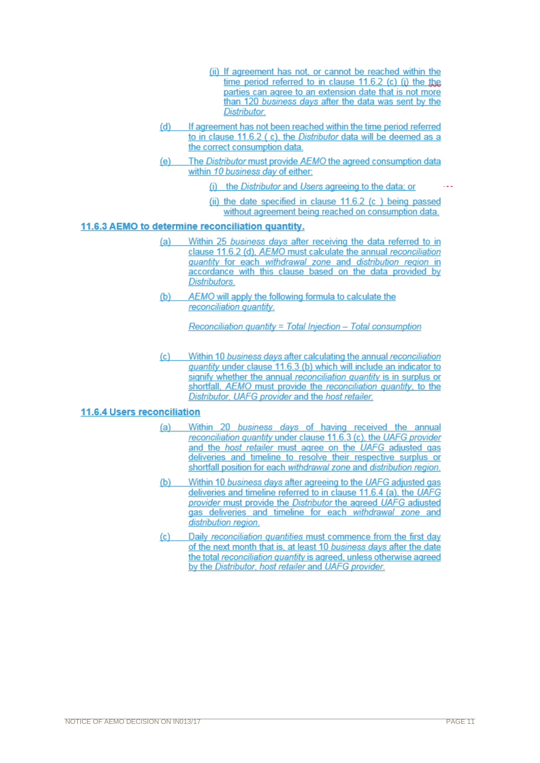- (ii) If agreement has not, or cannot be reached within the time period referred to in clause  $11.6.2$  (c) (i) the the parties can agree to an extension date that is not more than 120 business days after the data was sent by the Distributor.
- If agreement has not been reached within the time period referred  $(d)$ to in clause 11.6.2 (c), the Distributor data will be deemed as a the correct consumption data.
- The Distributor must provide AEMO the agreed consumption data  $(e)$ within 10 business day of either:
	- (i) the Distributor and Users agreeing to the data: or

(ii) the date specified in clause 11.6.2 (c) being passed without agreement being reached on consumption data.

### 11.6.3 AEMO to determine reconciliation quantity.

- $(a)$ Within 25 business days after receiving the data referred to in clause 11.6.2 (d). AEMO must calculate the annual reconciliation quantity for each withdrawal zone and distribution region in accordance with this clause based on the data provided by Distributors.
- AEMO will apply the following formula to calculate the  $(b)$ reconciliation quantity.

Reconciliation quantity = Total Injection - Total consumption

Within 10 business days after calculating the annual reconciliation  $(c)$ quantity under clause 11.6.3 (b) which will include an indicator to signify whether the annual reconciliation quantity is in surplus or shortfall, AEMO must provide the reconciliation quantity, to the Distributor, UAFG provider and the host retailer.

### 11.6.4 Users reconciliation

- Within 20 business days of having received the annual  $(a)$ reconciliation quantity under clause 11.6.3 (c), the UAFG provider and the host retailer must agree on the UAFG adjusted gas deliveries and timeline to resolve their respective surplus or shortfall position for each withdrawal zone and distribution region.
- $(b)$ Within 10 business days after agreeing to the UAFG adjusted gas deliveries and timeline referred to in clause 11.6.4 (a), the UAFG provider must provide the Distributor the agreed UAFG adjusted gas deliveries and timeline for each withdrawal zone and distribution region.
- Daily reconciliation quantities must commence from the first day  $(c)$ of the next month that is, at least 10 business days after the date the total reconciliation quantity is agreed, unless otherwise agreed by the Distributor, host retailer and UAFG provider.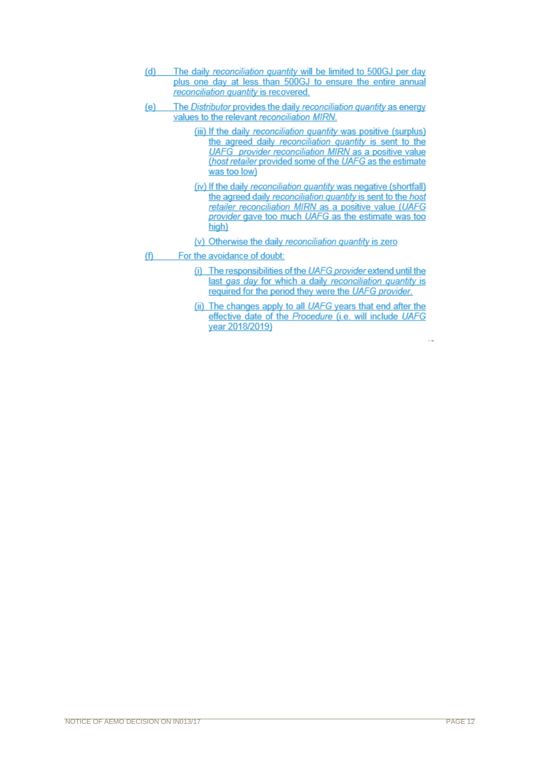- The daily reconciliation quantity will be limited to 500GJ per day  $(d)$ plus one day at less than 500GJ to ensure the entire annual reconciliation quantity is recovered.
- The Distributor provides the daily reconciliation quantity as energy  $(e)$ values to the relevant reconciliation MIRN.
	- (iii) If the daily reconciliation quantity was positive (surplus) the agreed daily reconciliation quantity is sent to the UAFG provider reconciliation MIRN as a positive value (host retailer provided some of the UAFG as the estimate was too low)
	- (iv) If the daily reconciliation quantity was negative (shortfall) the agreed daily reconciliation quantity is sent to the host retailer reconciliation MIRN as a positive value (UAFG provider gave too much UAFG as the estimate was too high)
	- (v) Otherwise the daily reconciliation quantity is zero
- For the avoidance of doubt:  $(f)$ 
	- (i) The responsibilities of the UAFG provider extend until the last gas day for which a daily reconciliation quantity is required for the period they were the UAFG provider.
	- (ii) The changes apply to all UAFG years that end after the effective date of the Procedure (i.e. will include UAFG year 2018/2019)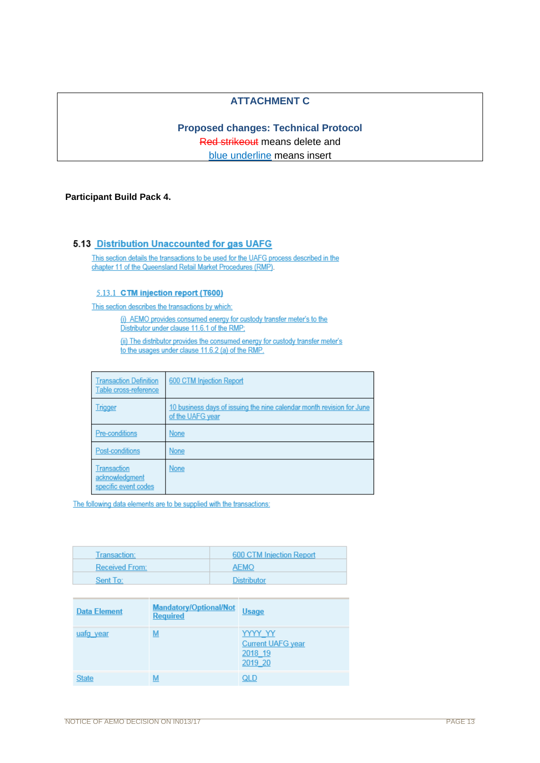## **ATTACHMENT C**

# **Proposed changes: Technical Protocol**  Red strikeout means delete and blue underline means insert

### **Participant Build Pack 4.**

#### 5.13 Distribution Unaccounted for gas UAFG

This section details the transactions to be used for the UAFG process described in the chapter 11 of the Queensland Retail Market Procedures (RMP).

#### 5.13.1 CTM injection report (T600)

This section describes the transactions by which:

(i) AEMO provides consumed energy for custody transfer meter's to the Distributor under clause 11.6.1 of the RMP;

(ii) The distributor provides the consumed energy for custody transfer meter's to the usages under clause 11.6.2 (a) of the RMP.

| <b>Transaction Definition</b><br>Table cross-reference | 600 CTM Injection Report                                                                  |
|--------------------------------------------------------|-------------------------------------------------------------------------------------------|
| <b>Trigger</b>                                         | 10 business days of issuing the nine calendar month revision for June<br>of the UAFG year |
| Pre-conditions                                         | None                                                                                      |
| Post-conditions                                        | None                                                                                      |
| Transaction<br>acknowledgment<br>specific event codes  | None                                                                                      |

| Transaction:          | 600 CTM Injection Report |
|-----------------------|--------------------------|
| <b>Received From:</b> | <b>AEMO</b>              |
| Sent To:              | <b>Distributor</b>       |

| <b>Data Element</b> | Mandatory/Optional/Not<br><b>Required</b> | <b>Usage</b>                                              |
|---------------------|-------------------------------------------|-----------------------------------------------------------|
| uafq year           | M                                         | YYYY YY<br><b>Current UAFG year</b><br>2018 19<br>2019 20 |
| <b>State</b>        | M                                         | QLD                                                       |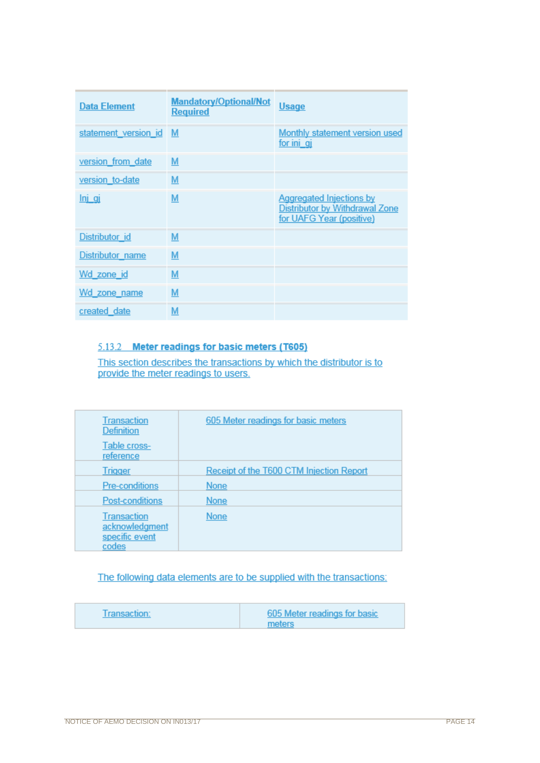| <b>Data Element</b>  | <b>Mandatory/Optional/Not</b><br><b>Required</b> | <b>Usage</b>                                                                                  |
|----------------------|--------------------------------------------------|-----------------------------------------------------------------------------------------------|
| statement version id | M                                                | Monthly statement version used<br>for ini qi                                                  |
| version from date    | M                                                |                                                                                               |
| version to-date      | M                                                |                                                                                               |
| <u>Inj qi</u>        | M                                                | <b>Aggregated Injections by</b><br>Distributor by Withdrawal Zone<br>for UAFG Year (positive) |
| Distributor id       | M                                                |                                                                                               |
| Distributor name     | M                                                |                                                                                               |
| Wd zone id           | M                                                |                                                                                               |
| Wd zone name         | M                                                |                                                                                               |
| created date         | M                                                |                                                                                               |

# 5.13.2 Meter readings for basic meters (T605)

This section describes the transactions by which the distributor is to provide the meter readings to users.

| Transaction<br><b>Definition</b>                                | 605 Meter readings for basic meters      |
|-----------------------------------------------------------------|------------------------------------------|
| Table cross-<br>reference                                       |                                          |
| <b>Trigger</b>                                                  | Receipt of the T600 CTM Injection Report |
| <b>Pre-conditions</b>                                           | <b>None</b>                              |
| <b>Post-conditions</b>                                          | <b>None</b>                              |
| <b>Transaction</b><br>acknowledgment<br>specific event<br>codes | <b>None</b>                              |

| Transaction: | 605 Meter readings for basic |
|--------------|------------------------------|
|              | meters                       |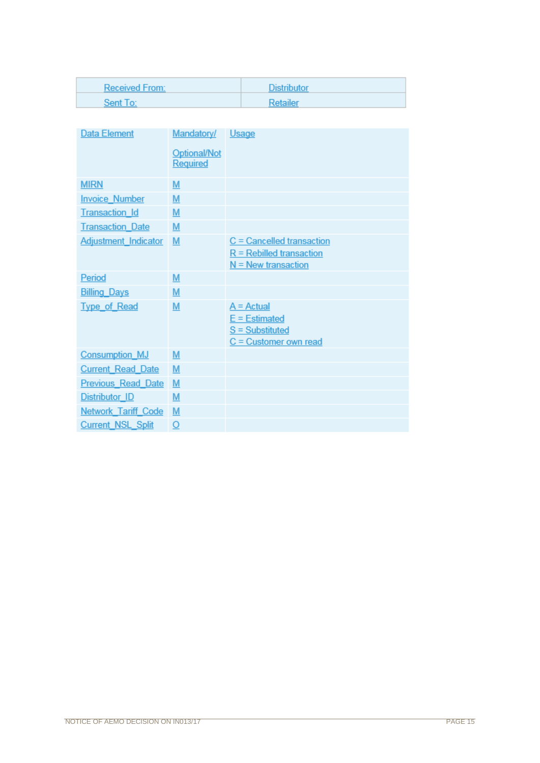| <b>Received From:</b> | <b>Distributor</b> |
|-----------------------|--------------------|
| Sent To:              | Retailer           |

| <b>Data Element</b>         | Mandatory/   | Usage                       |
|-----------------------------|--------------|-----------------------------|
|                             | Optional/Not |                             |
|                             | Required     |                             |
| <b>MIRN</b>                 | M            |                             |
| <b>Invoice Number</b>       | M            |                             |
| <b>Transaction Id</b>       | M            |                             |
| <b>Transaction Date</b>     | M            |                             |
| <b>Adjustment Indicator</b> | M            | $C =$ Cancelled transaction |
|                             |              | $R =$ Rebilled transaction  |
|                             |              | $N =$ New transaction       |
| Period                      | M            |                             |
| <b>Billing Days</b>         | M            |                             |
| <b>Type of Read</b>         | M            | $A =$ Actual                |
|                             |              | $E =$ Estimated             |
|                             |              | $S =$ Substituted           |
|                             |              | $C =$ Customer own read     |
| <b>Consumption MJ</b>       | M            |                             |
| <b>Current Read Date</b>    | M            |                             |
| <b>Previous Read Date</b>   | M            |                             |
| <b>Distributor ID</b>       | M            |                             |
| <b>Network Tariff Code</b>  | M            |                             |
| <b>Current NSL Split</b>    | O            |                             |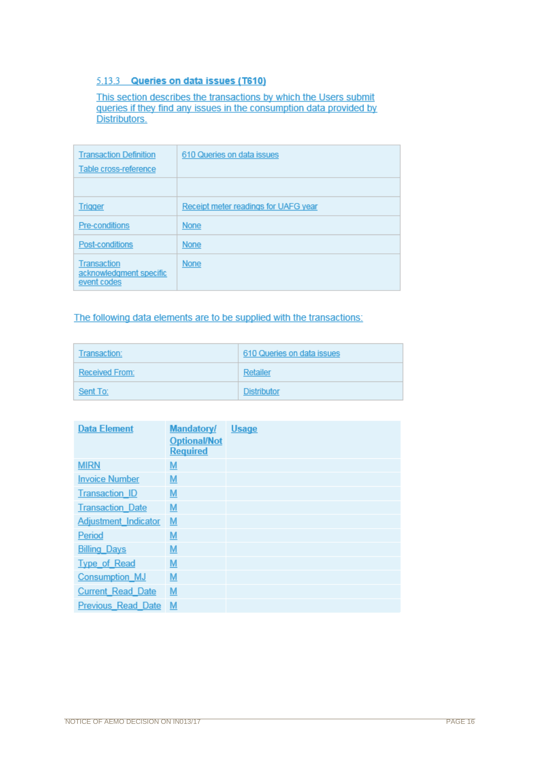## 5.13.3 Queries on data issues (T610)

This section describes the transactions by which the Users submit queries if they find any issues in the consumption data provided by Distributors.

| <b>Transaction Definition</b><br>Table cross-reference       | 610 Queries on data issues           |
|--------------------------------------------------------------|--------------------------------------|
|                                                              |                                      |
| <b>Trigger</b>                                               | Receipt meter readings for UAFG year |
| <b>Pre-conditions</b>                                        | None                                 |
| Post-conditions                                              | None                                 |
| <b>Transaction</b><br>acknowledgment specific<br>event codes | None                                 |

| Transaction:   | 610 Queries on data issues |
|----------------|----------------------------|
| Received From: | Retailer                   |
| Sent To:       | Distributor                |

| <b>Data Element</b>         | <b>Mandatory/</b>   | <b>Usage</b> |
|-----------------------------|---------------------|--------------|
|                             | <b>Optional/Not</b> |              |
|                             | <b>Required</b>     |              |
| <b>MIRN</b>                 | M                   |              |
| <b>Invoice Number</b>       | $M$                 |              |
| <b>Transaction ID</b>       | $M$                 |              |
| <b>Transaction Date</b>     | M                   |              |
| <b>Adjustment Indicator</b> | M                   |              |
| Period                      | $M$                 |              |
| <b>Billing Days</b>         | M                   |              |
| <b>Type of Read</b>         | M                   |              |
| <b>Consumption MJ</b>       | $M$                 |              |
| <b>Current Read Date</b>    | M                   |              |
| <b>Previous Read Date</b>   | M                   |              |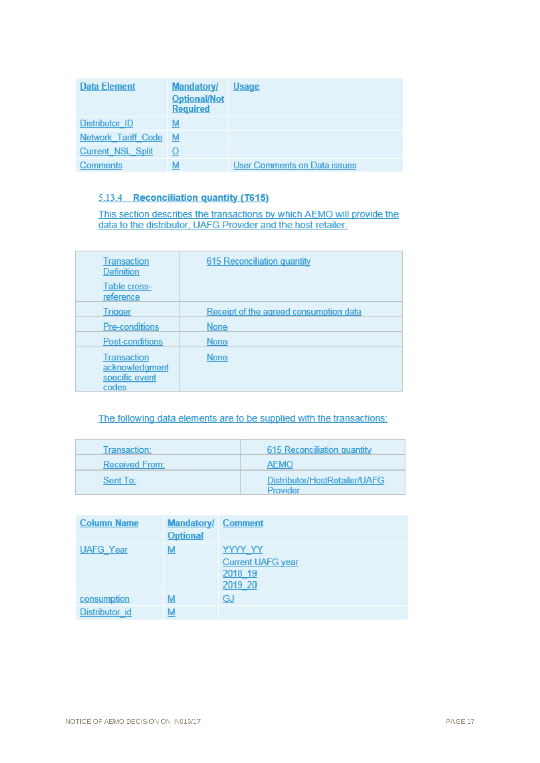| <b>Data Element</b>        | <b>Mandatory/</b><br><b>Optional/Not</b><br><b>Required</b> | <b>Usage</b>                        |
|----------------------------|-------------------------------------------------------------|-------------------------------------|
| <b>Distributor ID</b>      | <u>м</u>                                                    |                                     |
| <b>Network Tariff Code</b> | <u>M</u>                                                    |                                     |
| <b>Current NSL Split</b>   |                                                             |                                     |
| <b>Comments</b>            | <u>М</u>                                                    | <b>User Comments on Data issues</b> |

# 5.13.4 Reconciliation quantity (T615)

This section describes the transactions by which AEMO will provide the data to the distributor, UAFG Provider and the host retailer.

| <b>Transaction</b><br><b>Definition</b>                         | 615 Reconciliation quantity            |
|-----------------------------------------------------------------|----------------------------------------|
| Table cross-<br>reference                                       |                                        |
| <b>Trigger</b>                                                  | Receipt of the agreed consumption data |
| Pre-conditions                                                  | <b>None</b>                            |
| Post-conditions                                                 | <b>None</b>                            |
| <b>Transaction</b><br>acknowledgment<br>specific event<br>codes | <b>None</b>                            |

| Transaction:          | 615 Reconciliation quantity               |
|-----------------------|-------------------------------------------|
| <b>Received From:</b> | <b>AEMO</b>                               |
| Sent To:              | Distributor/HostRetailer/UAFG<br>Provider |

| <b>Column Name</b> | <b>Mandatory/ Comment</b><br><b>Optional</b> |                                                                  |
|--------------------|----------------------------------------------|------------------------------------------------------------------|
| <b>UAFG Year</b>   | <u>м</u>                                     | <u>YYYY YY</u><br><b>Current UAFG year</b><br>2018 19<br>2019 20 |
| consumption        | м                                            | <u>GJ</u>                                                        |
| Distributor id     | M                                            |                                                                  |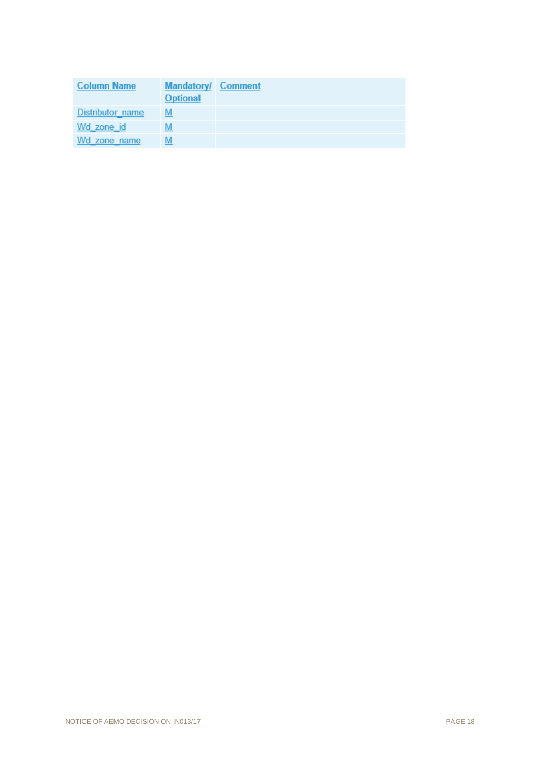| <b>Column Name</b> | <b>Mandatory/ Comment</b><br><b>Optional</b> |  |
|--------------------|----------------------------------------------|--|
| Distributor name   |                                              |  |
| Wd zone id         |                                              |  |
| Wd zone name       |                                              |  |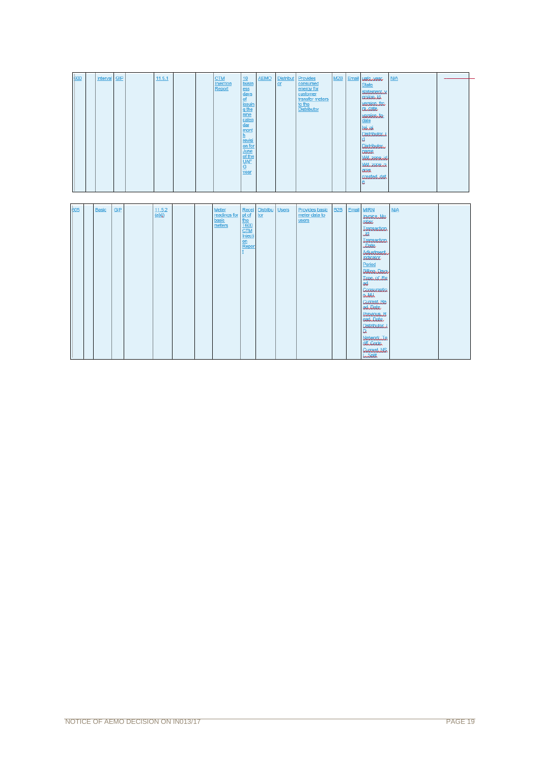|     | 600 | Interval     | <b>GIP</b> | 11.5.1                        |  | <b>CTM</b><br>Injection<br>Report        | 10 <sup>10</sup><br>busin<br>ess<br>days<br>of<br><b>issuin</b><br>q the<br>nine<br>calen<br>$d$ ar<br>mont<br>h.<br>revisi<br>on for<br>June<br>of the<br><b>UAF</b><br>$\overline{\mathtt{G}}$<br>year | <b>AEMO</b>     | <b>Distribut</b><br>$or$ | Provides<br>consumed<br>energy for<br>customer<br>transfer meters<br>to the<br><b>Distributor</b> | M2B              | Email | Udlanca<br><b>State</b><br>statementy<br>annih<br>versionato<br><b><i><u>andate</u></i></b><br>version to<br>date<br>lahai<br>Distributori<br>١d<br><b>Distributor</b><br><b>UGAAR</b><br>Wanzanania<br>Waxaara<br><b>GUAR</b><br>created dat<br>e                                                                                                                                                         | <b>N/A</b> |  |
|-----|-----|--------------|------------|-------------------------------|--|------------------------------------------|----------------------------------------------------------------------------------------------------------------------------------------------------------------------------------------------------------|-----------------|--------------------------|---------------------------------------------------------------------------------------------------|------------------|-------|------------------------------------------------------------------------------------------------------------------------------------------------------------------------------------------------------------------------------------------------------------------------------------------------------------------------------------------------------------------------------------------------------------|------------|--|
| 605 |     | <b>Basic</b> | <b>GIP</b> | 11.5.2<br>$\overline{(a)(i)}$ |  | Meter<br>readings for<br>basic<br>meters | Recei<br>pt of<br>the<br><b>T600</b><br><b>CTM</b><br>Injecti<br>on<br>Repor                                                                                                                             | Distribu<br>tor | <b>Users</b>             | Provides basic<br>meter data to<br>users                                                          | B <sub>2</sub> B |       | Email MIRN<br><b>UNAKRAALL</b><br>UNA<br><b>Januarion</b><br>$\overline{\mathcal{A}}$<br>Jaaraatioo<br>Jak<br>Adjustment<br><b>University</b><br>Period<br>BURGLDOK<br><b>Jacquet Jacques</b><br>æ<br>Consumatio<br>and<br><b><i><u>CULTAINEG</u></i></b><br>achilde<br><b>BURNOUGH</b><br>Garnagh<br><b>Distributor</b><br>a<br><b>Naturation Ta</b><br>University<br><b>CUITERILAIS</b><br><b>Lander</b> | <b>N/A</b> |  |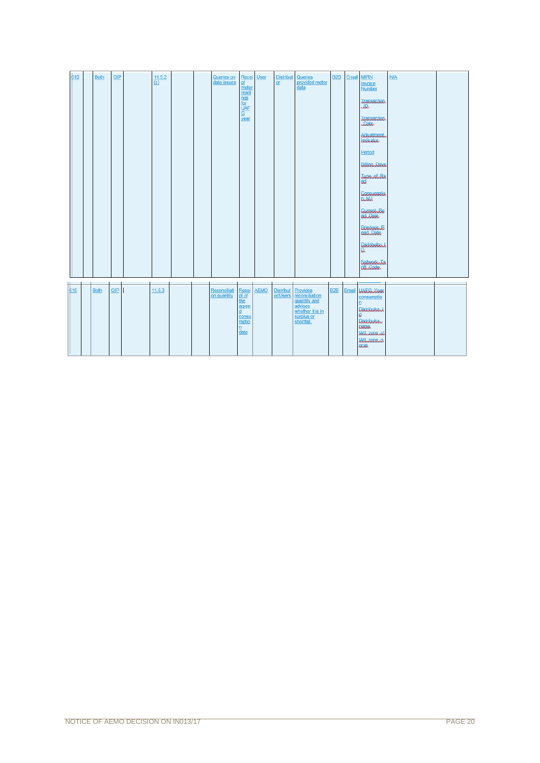| 610 | <b>Both</b> | <b>GIP</b> | 11.5.2<br>$\overline{(c)}$ |  | Queries on<br>data issues   | Recei<br>pt<br>meter<br>readi<br>nqs<br>for<br>UAF<br>G<br>$\frac{1}{2}$ | <b>User</b> | <b>Distribut</b><br>or       | Queries<br>provided meter<br>data                                                                     | B <sub>2</sub> B | Email | <b>MIRN</b><br>Invoice<br><b>Number</b><br>Japania<br>JR<br><b><i><u>Janaaction</u></i></b><br>Jak<br>Adjustment<br>inhan<br>Period<br>BULARING<br><b>Jackson Jackson</b><br>ad.<br>Consumation<br>ander<br><b>CURRAL</b> Be<br>athlate<br><b>BUGNAUGH</b><br>cad Date<br>Distributan<br>D.<br>Naturalizata<br>Unharia | <b>N/A</b> |  |
|-----|-------------|------------|----------------------------|--|-----------------------------|--------------------------------------------------------------------------|-------------|------------------------------|-------------------------------------------------------------------------------------------------------|------------------|-------|------------------------------------------------------------------------------------------------------------------------------------------------------------------------------------------------------------------------------------------------------------------------------------------------------------------------|------------|--|
| 615 | <b>Both</b> | GIP        | 11.5.3                     |  | Reconciliati<br>on quantity | Recei<br>pt of<br>the<br>agree<br>d<br>consu<br>mptio<br>n<br>data       | <b>AEMO</b> | <b>Distribut</b><br>or/Users | Provides<br>reconciliation<br>quantity and<br>advises<br>whether it is in<br>surplus or<br>shortfall. | B <sub>2</sub> B | Email | <b><i>UAFGNER</i></b><br>consumptio<br>n<br>Distributori<br>d<br>Distributor<br><b>DONAG</b><br>Wanzarenia<br>Walzamana<br><b>aus</b>                                                                                                                                                                                  |            |  |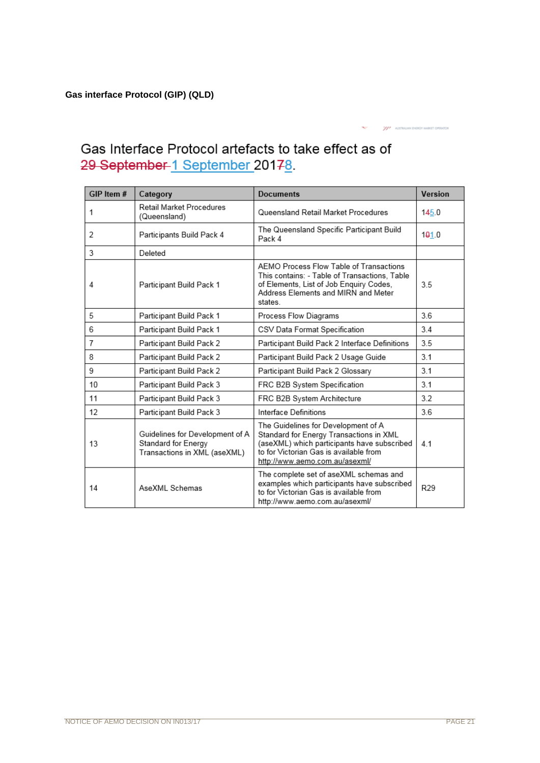29 September 1 September 20178. GIP Item # Category **Documents** Version Retail Market Procedures  $\mathbf{1}$ Queensland Retail Market Procedures  $145.0$ (Queensland)  $\overline{t_{\rm tho} \wedge t}$  $\frac{1}{2}$  $\frac{1}{\sqrt{16}}$  Destinia  $\frac{1}{2}$  Duild τ

Gas Interface Protocol artefacts to take effect as of

| 2  | Participants Build Pack 4                                                              | The Queensland Specific Participant Build<br>Pack 4                                                                                                                                                       | 101.0 |
|----|----------------------------------------------------------------------------------------|-----------------------------------------------------------------------------------------------------------------------------------------------------------------------------------------------------------|-------|
| 3  | Deleted                                                                                |                                                                                                                                                                                                           |       |
| 4  | Participant Build Pack 1                                                               | AEMO Process Flow Table of Transactions<br>This contains: - Table of Transactions, Table<br>of Elements, List of Job Enquiry Codes,<br>Address Elements and MIRN and Meter<br>states.                     | 3.5   |
| 5  | Participant Build Pack 1                                                               | Process Flow Diagrams                                                                                                                                                                                     | 3.6   |
| 6  | Participant Build Pack 1                                                               | CSV Data Format Specification                                                                                                                                                                             | 3.4   |
| 7  | Participant Build Pack 2                                                               | Participant Build Pack 2 Interface Definitions                                                                                                                                                            | 3.5   |
| 8  | Participant Build Pack 2                                                               | Participant Build Pack 2 Usage Guide                                                                                                                                                                      | 3.1   |
| 9  | Participant Build Pack 2                                                               | Participant Build Pack 2 Glossary                                                                                                                                                                         | 3.1   |
| 10 | Participant Build Pack 3                                                               | FRC B2B System Specification                                                                                                                                                                              | 3.1   |
| 11 | Participant Build Pack 3                                                               | FRC B2B System Architecture                                                                                                                                                                               | 3.2   |
| 12 | Participant Build Pack 3                                                               | Interface Definitions                                                                                                                                                                                     | 3.6   |
| 13 | Guidelines for Development of A<br>Standard for Energy<br>Transactions in XML (aseXML) | The Guidelines for Development of A<br>Standard for Energy Transactions in XML<br>(aseXML) which participants have subscribed<br>to for Victorian Gas is available from<br>http://www.aemo.com.au/asexml/ | 4.1   |
| 14 | AseXML Schemas                                                                         | The complete set of aseXML schemas and<br>examples which participants have subscribed<br>to for Victorian Gas is available from<br>http://www.aemo.com.au/asexml/                                         | R29   |

AUSTRALIAN ENERGY MARKET CO

 $\overline{u}$